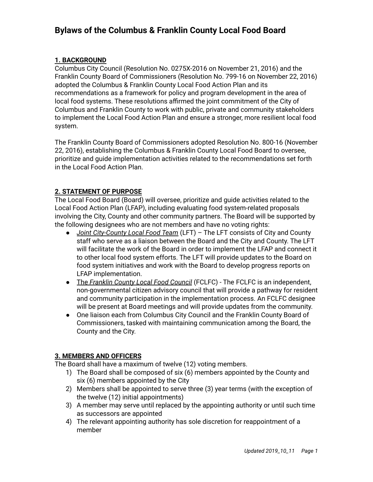## **Bylaws of the Columbus & Franklin County Local Food Board**

## **1. BACKGROUND**

Columbus City Council (Resolution No. 0275X-2016 on November 21, 2016) and the Franklin County Board of Commissioners (Resolution No. 799-16 on November 22, 2016) adopted the Columbus & Franklin County Local Food Action Plan and its recommendations as a framework for policy and program development in the area of local food systems. These resolutions affirmed the joint commitment of the City of Columbus and Franklin County to work with public, private and community stakeholders to implement the Local Food Action Plan and ensure a stronger, more resilient local food system.

The Franklin County Board of Commissioners adopted Resolution No. 800-16 (November 22, 2016), establishing the Columbus & Franklin County Local Food Board to oversee, prioritize and guide implementation activities related to the recommendations set forth in the Local Food Action Plan.

## **2. STATEMENT OF PURPOSE**

The Local Food Board (Board) will oversee, prioritize and guide activities related to the Local Food Action Plan (LFAP), including evaluating food system-related proposals involving the City, County and other community partners. The Board will be supported by the following designees who are not members and have no voting rights:

- **●** *Joint City-County Local Food Team* (LFT) The LFT consists of City and County staff who serve as a liaison between the Board and the City and County. The LFT will facilitate the work of the Board in order to implement the LFAP and connect it to other local food system efforts. The LFT will provide updates to the Board on food system initiatives and work with the Board to develop progress reports on LFAP implementation.
- **●** The *Franklin County Local Food Council* (FCLFC) The FCLFC is an independent, non-governmental citizen advisory council that will provide a pathway for resident and community participation in the implementation process. An FCLFC designee will be present at Board meetings and will provide updates from the community.
- **●** One liaison each from Columbus City Council and the Franklin County Board of Commissioners, tasked with maintaining communication among the Board, the County and the City.

### **3. MEMBERS AND OFFICERS**

The Board shall have a maximum of twelve (12) voting members.

- 1) The Board shall be composed of six (6) members appointed by the County and six (6) members appointed by the City
- 2) Members shall be appointed to serve three (3) year terms (with the exception of the twelve (12) initial appointments)
- 3) A member may serve until replaced by the appointing authority or until such time as successors are appointed
- 4) The relevant appointing authority has sole discretion for reappointment of a member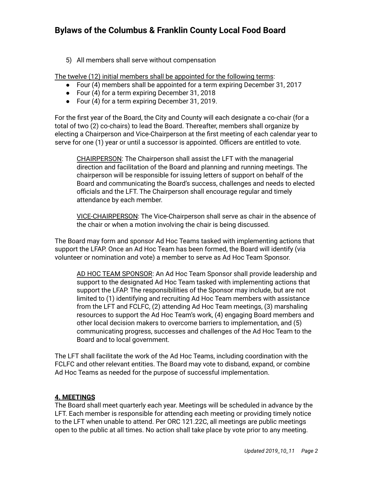# **Bylaws of the Columbus & Franklin County Local Food Board**

5) All members shall serve without compensation

The twelve (12) initial members shall be appointed for the following terms:

- Four (4) members shall be appointed for a term expiring December 31, 2017
- Four (4) for a term expiring December 31, 2018
- Four (4) for a term expiring December 31, 2019.

For the first year of the Board, the City and County will each designate a co-chair (for a total of two (2) co-chairs) to lead the Board. Thereafter, members shall organize by electing a Chairperson and Vice-Chairperson at the first meeting of each calendar year to serve for one (1) year or until a successor is appointed. Officers are entitled to vote.

CHAIRPERSON: The Chairperson shall assist the LFT with the managerial direction and facilitation of the Board and planning and running meetings. The chairperson will be responsible for issuing letters of support on behalf of the Board and communicating the Board's success, challenges and needs to elected officials and the LFT. The Chairperson shall encourage regular and timely attendance by each member.

VICE-CHAIRPERSON: The Vice-Chairperson shall serve as chair in the absence of the chair or when a motion involving the chair is being discussed.

The Board may form and sponsor Ad Hoc Teams tasked with implementing actions that support the LFAP. Once an Ad Hoc Team has been formed, the Board will identify (via volunteer or nomination and vote) a member to serve as Ad Hoc Team Sponsor.

AD HOC TEAM SPONSOR: An Ad Hoc Team Sponsor shall provide leadership and support to the designated Ad Hoc Team tasked with implementing actions that support the LFAP. The responsibilities of the Sponsor may include, but are not limited to (1) identifying and recruiting Ad Hoc Team members with assistance from the LFT and FCLFC, (2) attending Ad Hoc Team meetings, (3) marshaling resources to support the Ad Hoc Team's work, (4) engaging Board members and other local decision makers to overcome barriers to implementation, and (5) communicating progress, successes and challenges of the Ad Hoc Team to the Board and to local government.

The LFT shall facilitate the work of the Ad Hoc Teams, including coordination with the FCLFC and other relevant entities. The Board may vote to disband, expand, or combine Ad Hoc Teams as needed for the purpose of successful implementation.

### **4. MEETINGS**

The Board shall meet quarterly each year. Meetings will be scheduled in advance by the LFT. Each member is responsible for attending each meeting or providing timely notice to the LFT when unable to attend. Per ORC 121.22C, all meetings are public meetings open to the public at all times. No action shall take place by vote prior to any meeting.